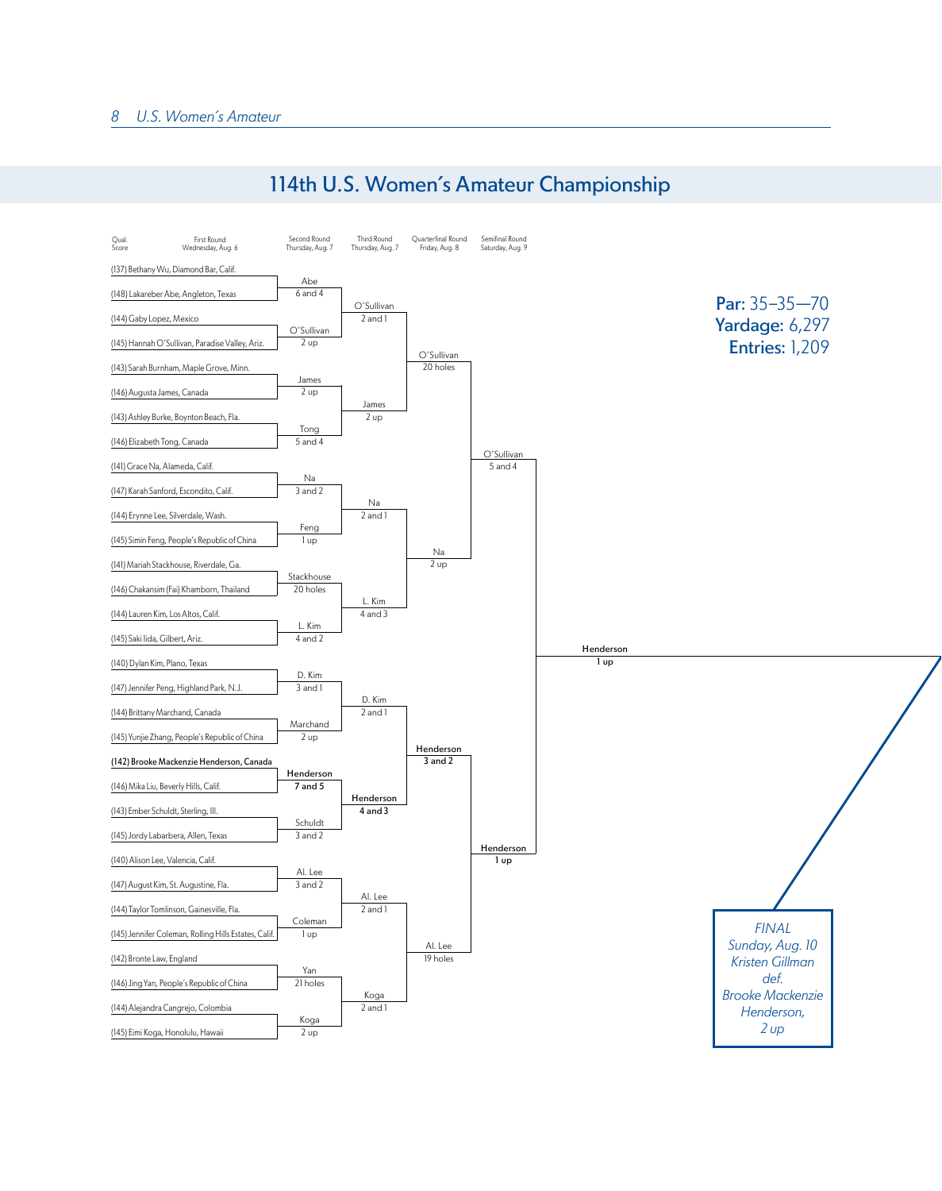## 114th U.S. Women's Amateur Championship

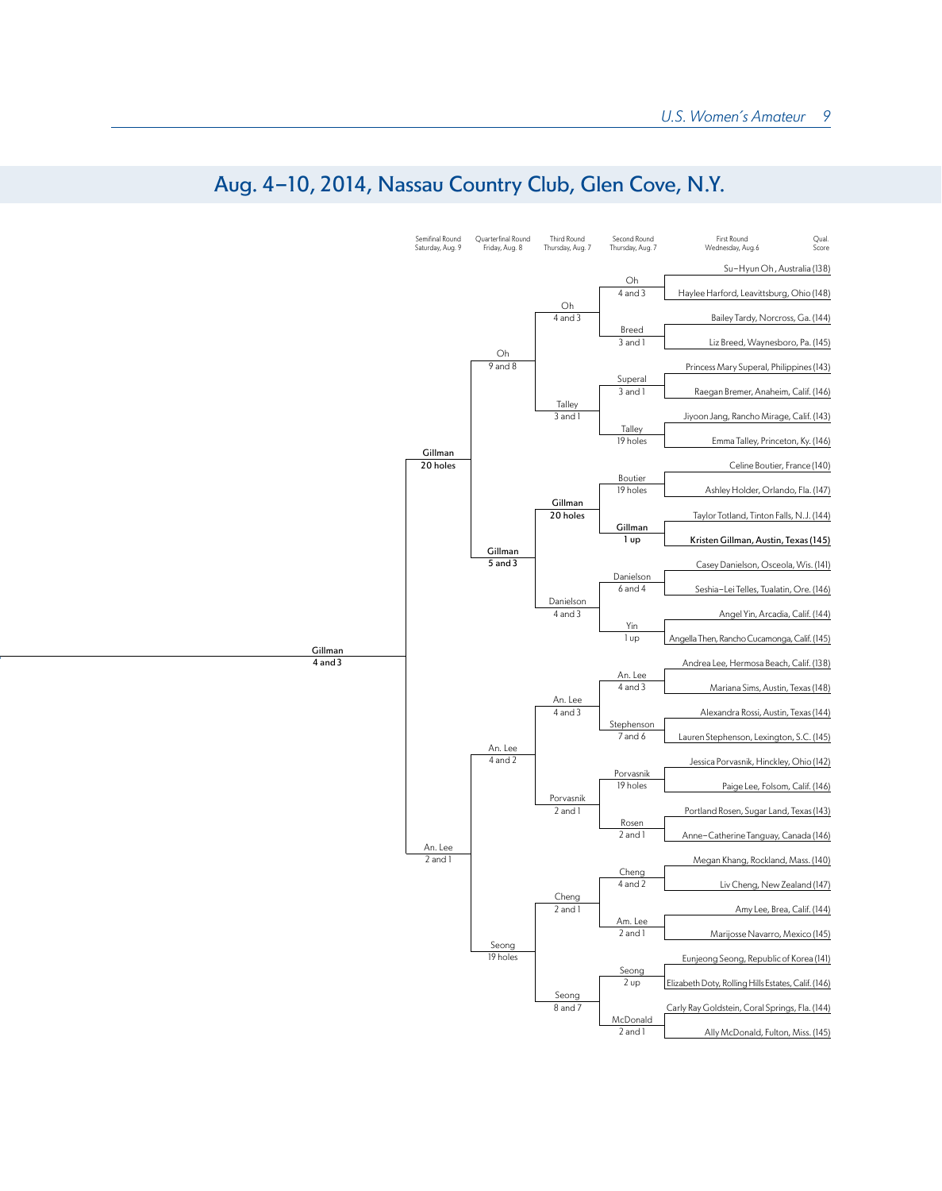

## Aug. 4-10, 2014, Nassau Country Club, Glen Cove, N.Y.